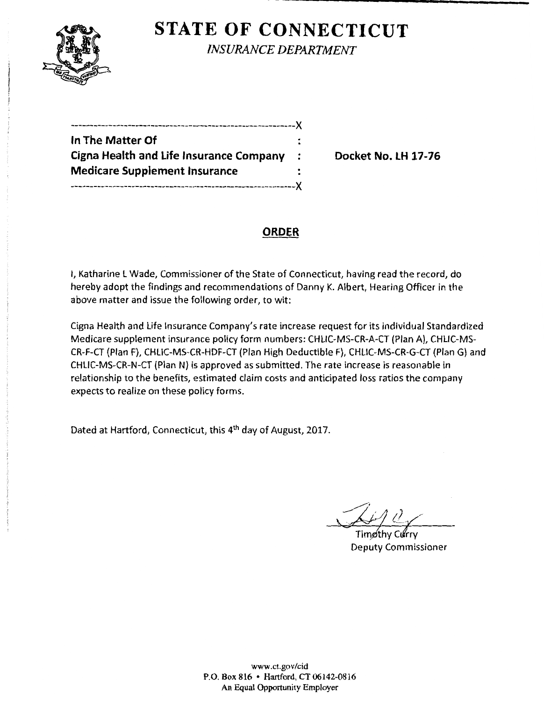

**STATE OF CONNECTICUT** *INSURANCE DEPARTMENT* 

| In The Matter Of                               |           |
|------------------------------------------------|-----------|
| <b>Cigna Health and Life Insurance Company</b> | $\cdot$ : |
| <b>Medicare Supplement Insurance</b>           |           |
| -----------------------------------X           |           |

Docket No. LH 17-76

# **ORDER**

I, Katharine l Wade, Commissioner of the State of Connecticut, having read the record, do hereby adopt the findings and recommendations of Danny K. Albert, Hearing Officer in the above matter and issue the following order, to wit:

Cigna Health and life Insurance Company's rate increase request for its individual Standardized Medicare supplement insurance policy form numbers: CHLIC-MS-CR-A-CT (Plan A), CHLIC-MS-CR-F-CT (Plan F), CHLIC-MS-CR-HDF-CT (Plan High Deductible F), CHLIC-MS-CR-G-CT (Plan G) and CHLIC-MS-CR-N-CT (Plan N) is approved as submitted. The rate increase is reasonable in relationship to the benefits, estimated claim costs and anticipated loss ratios the company expects to realize on these policy forms.

Dated at Hartford, Connecticut, this 4th day of August, 2017.

Timpthy Curry

Deputy Commissioner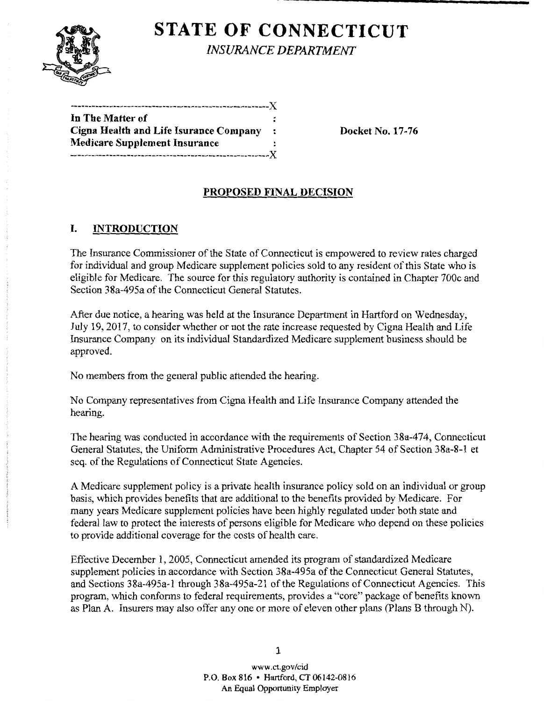

# **STATE OF CONNECTICUT** *INSURANCE DEPARTMENT*

| In The Matter of                       |  |
|----------------------------------------|--|
| Cigna Health and Life Isurance Company |  |
| Medicare Supplement Insurance          |  |
|                                        |  |
|                                        |  |

Docket No. 17-76

# PROPOSED FINAL DECISION

## I. INTRODUCTION

The Insurance Commissioner of the State of Connecticut is empowered to review rates charged for individual and group Medicare supplement policies sold to any resident of this State who is eligible for Medicare. The source for this regulatory authority is contained in Chapter 700c and Section 38a-495a of the Connecticut General Statutes.

After due notice, a hearing was held at the Insurance Department in Hartford on Wednesday, July 19, 2017, to consider whether or not the rate increase requested by Cigna Health and Life Insurance Company on its individual Standardized Medicare supplement business should be approved.

No members from the general public attended the hearing.

No Company representatives from Cigna Health and Life Insurance Company attended the hearing.

The hearing was conducted in accordance with the requirements of Section 38a-474, Connecticut General Statutes, the Uniform Administrative Procedures Act, Chapter 54 of Section 3 8a-8-1 et seq. of the Regulations of Connecticut State Agencies.

A Medicare supplement policy is a private health insurance policy sold on an individual or group basis, which provides benefits that are additional to the benefits provided by Medicare. For many years Medicare supplement policies have been highly regulated under both state and federal law to protect the interests of persons eligible for Medicare who depend on these policies to provide additional coverage for the costs of health care.

Effective December 1, 2005, Connecticut amended its program of standardized Medicare supplement policies in accordance with Section 38a-495a of the Connecticut General Statutes, and Sections 38a-495a-1 through 38a-495a-21 of the Regulations of Connecticut Agencies. This program, which conforms to federal requirements, provides a "core" package of benefits known as Plan A. Insurers may also offer any one or more of eleven other plans (Plans B through N).

1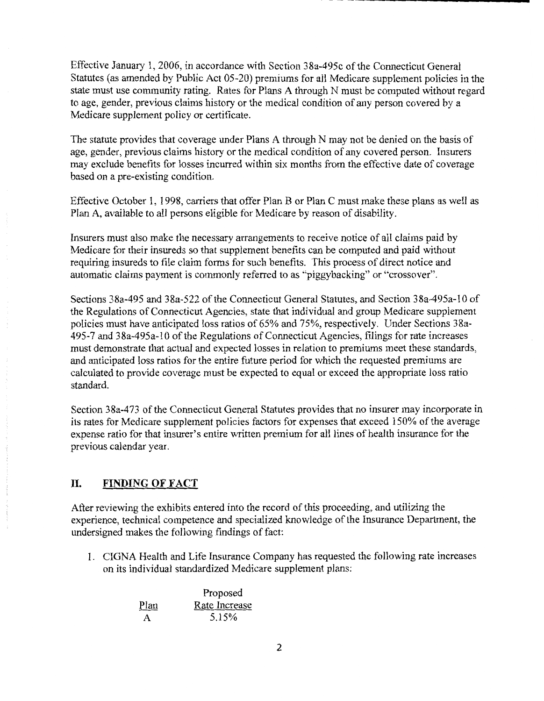Effective January 1, 2006, in accordance with Section 38a-495c ofthe Connecticut General Statutes (as amended by Public Act 05-20) premiums for all Medicare supplement policies in the state must use community rating. Rates for Plans A through N must be computed without regard to age, gender, previous claims history or the medical condition of any person covered by a Medicare supplement policy or certificate.

The statute provides that coverage under Plans A through N may not be denied on the basis of age, gender, previous claims history or the medical condition of any covered person. Insurers may exclude benefits for losses incurred within six months from the effective date of coverage based on a pre-existing condition.

Effective October 1, 1998, carriers that offer Plan B or Plan C must make these plans as well as Plan A, available to all persons eligible for Medicare by reason of disability.

Insurers must also make the necessary arrangements to receive notice of all claims paid by Medicare for their insureds so that supplement benefits can be computed and paid without requiring insureds to file claim forms for such benefits. This process of direct notice and automatic claims payment is commonly referred to as "piggybacking" or "crossover".

Sections 38a-495 and 38a-522 of the Connecticut General Statutes, and Section 38a-495a-10 of the Regulations of Connecticut Agencies, state that individual and group Medicare supplement policies must have anticipated loss ratios of 65% and 75%, respectively. Under Sections 38a-495-7 and 38a-495a-10 of the Regulations of Connecticut Agencies, filings for rate increases must demonstrate that actual and expected losses in relation to premiums meet these standards, and anticipated loss ratios for the entire future period for which the requested premiums are calculated to provide coverage must be expected to equal or exceed the appropriate loss ratio standard.

Section 38a-473 of the Connecticut General Statutes provides that no insurer may incorporate in its rates for Medicare supplement policies factors for expenses that exceed 150% of the average expense ratio for that insurer's entire written premium for all lines of health insurance for the previous calendar year.

### **II. FINDING OF FACT**

After reviewing the exhibits entered into the record ofthis proceeding, and utilizing the experience, technical competence and specialized knowledge ofthe Insurance Department, the undersigned makes the following findings of fact:

1. CIGNA Health and Life Insurance Company has requested the following rate increases on its individual standardized Medicare supplement plans:

|      | Proposed<br>Rate Increase |  |
|------|---------------------------|--|
| Plan |                           |  |
| A    | 5.15%                     |  |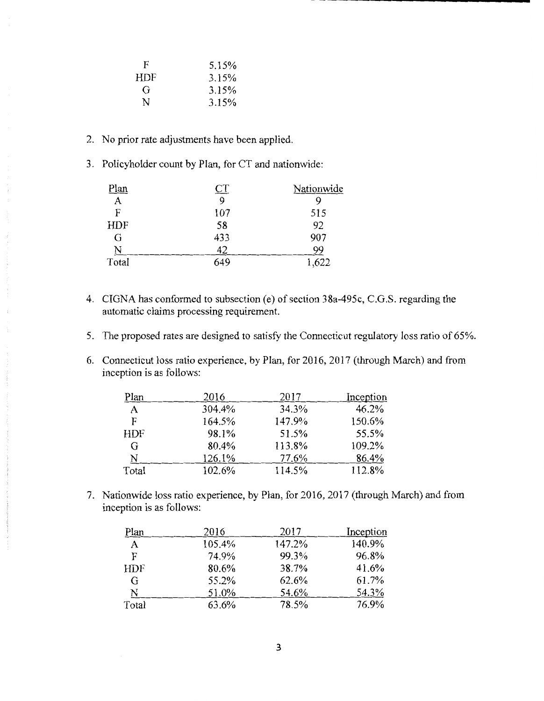| F   | 5.15% |
|-----|-------|
| HDF | 3.15% |
| Gì  | 3.15% |
| N   | 3.15% |

- 2. No prior rate adjustments have been applied.
- 3. Policyholder count by Plan, for CT and nationwide:

| Plan       | ᅺ   | Nationwide |
|------------|-----|------------|
| A          | 9   |            |
| F          | 107 | 515        |
| <b>HDF</b> | 58  | 92         |
| G          | 433 | 907        |
| N          | 42  | 99         |
| Total      | 649 | 1,622      |

- 4. CIGNA has conformed to subsection (e) of section 38a-495c, C.G.S. regarding the automatic claims processing requirement.
- 5. The proposed rates are designed to satisfy the Connecticut regulatory loss ratio of 65%.
- 6. Connecticut loss ratio experience, by Plan, for 2016, 2017 (through March) and from inception is as follows:

| Plan       | 2016   | 2017   | Inception |
|------------|--------|--------|-----------|
| A          | 304.4% | 34.3%  | 46.2%     |
| F          | 164.5% | 147.9% | 150.6%    |
| <b>HDF</b> | 98.1%  | 51.5%  | 55.5%     |
| G          | 80.4%  | 113.8% | 109.2%    |
| N          | 126.1% | 77.6%  | 86.4%     |
| Total      | 102.6% | 114.5% | 112.8%    |

7. Nationwide loss ratio experience, by Plan, for 2016, 2017 (through March) and from inception is as follows:

| Plan       | 2016   | 2017   | Inception |
|------------|--------|--------|-----------|
| A          | 105.4% | 147.2% | 140.9%    |
| F          | 74.9%  | 99.3%  | 96.8%     |
| <b>HDF</b> | 80.6%  | 38.7%  | 41.6%     |
| G          | 55.2%  | 62.6%  | 61.7%     |
| N          | 51.0%  | 54.6%  | 54.3%     |
| Total      | 63.6%  | 78.5%  | 76.9%     |